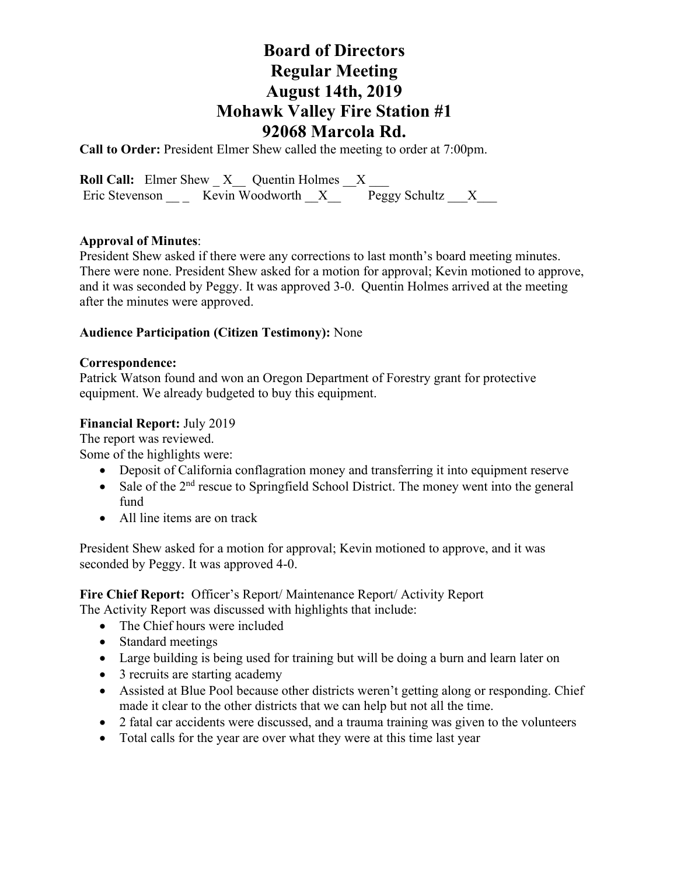## **Board of Directors Regular Meeting August 14th, 2019 Mohawk Valley Fire Station #1 92068 Marcola Rd.**

**Call to Order:** President Elmer Shew called the meeting to order at 7:00pm.

**Roll Call:** Elmer Shew  $X$  Quentin Holmes  $X$ Eric Stevenson \_\_ \_ Kevin Woodworth  $\mathbf{X}$  \_\_ Peggy Schultz \_\_X\_\_\_

#### **Approval of Minutes**:

President Shew asked if there were any corrections to last month's board meeting minutes. There were none. President Shew asked for a motion for approval; Kevin motioned to approve, and it was seconded by Peggy. It was approved 3-0. Quentin Holmes arrived at the meeting after the minutes were approved.

#### **Audience Participation (Citizen Testimony):** None

#### **Correspondence:**

Patrick Watson found and won an Oregon Department of Forestry grant for protective equipment. We already budgeted to buy this equipment.

#### **Financial Report:** July 2019

The report was reviewed.

Some of the highlights were:

- Deposit of California conflagration money and transferring it into equipment reserve
- Sale of the  $2<sup>nd</sup>$  rescue to Springfield School District. The money went into the general fund
- All line items are on track

President Shew asked for a motion for approval; Kevin motioned to approve, and it was seconded by Peggy. It was approved 4-0.

**Fire Chief Report:** Officer's Report/ Maintenance Report/ Activity Report The Activity Report was discussed with highlights that include:

- The Chief hours were included
- Standard meetings
- Large building is being used for training but will be doing a burn and learn later on
- 3 recruits are starting academy
- Assisted at Blue Pool because other districts weren't getting along or responding. Chief made it clear to the other districts that we can help but not all the time.
- 2 fatal car accidents were discussed, and a trauma training was given to the volunteers
- Total calls for the year are over what they were at this time last year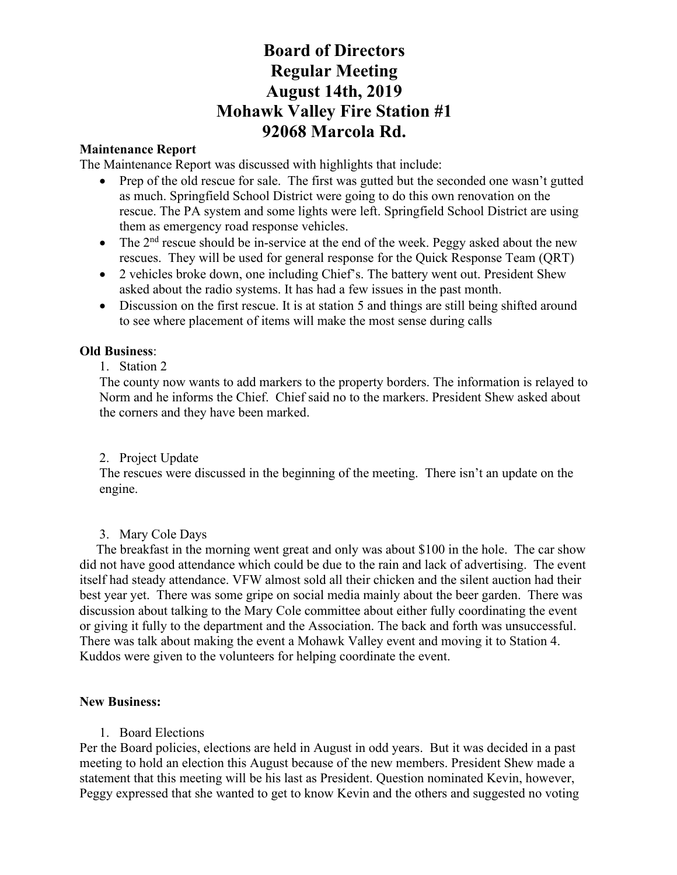# **Board of Directors Regular Meeting August 14th, 2019 Mohawk Valley Fire Station #1 92068 Marcola Rd.**

### **Maintenance Report**

The Maintenance Report was discussed with highlights that include:

- Prep of the old rescue for sale. The first was gutted but the seconded one wasn't gutted as much. Springfield School District were going to do this own renovation on the rescue. The PA system and some lights were left. Springfield School District are using them as emergency road response vehicles.
- The  $2<sup>nd</sup>$  rescue should be in-service at the end of the week. Peggy asked about the new rescues. They will be used for general response for the Quick Response Team (QRT)
- 2 vehicles broke down, one including Chief's. The battery went out. President Shew asked about the radio systems. It has had a few issues in the past month.
- Discussion on the first rescue. It is at station 5 and things are still being shifted around to see where placement of items will make the most sense during calls

### **Old Business**:

1. Station 2

The county now wants to add markers to the property borders. The information is relayed to Norm and he informs the Chief. Chief said no to the markers. President Shew asked about the corners and they have been marked.

#### 2. Project Update

The rescues were discussed in the beginning of the meeting. There isn't an update on the engine.

#### 3. Mary Cole Days

 The breakfast in the morning went great and only was about \$100 in the hole. The car show did not have good attendance which could be due to the rain and lack of advertising. The event itself had steady attendance. VFW almost sold all their chicken and the silent auction had their best year yet. There was some gripe on social media mainly about the beer garden. There was discussion about talking to the Mary Cole committee about either fully coordinating the event or giving it fully to the department and the Association. The back and forth was unsuccessful. There was talk about making the event a Mohawk Valley event and moving it to Station 4. Kuddos were given to the volunteers for helping coordinate the event.

#### **New Business:**

1. Board Elections

Per the Board policies, elections are held in August in odd years. But it was decided in a past meeting to hold an election this August because of the new members. President Shew made a statement that this meeting will be his last as President. Question nominated Kevin, however, Peggy expressed that she wanted to get to know Kevin and the others and suggested no voting